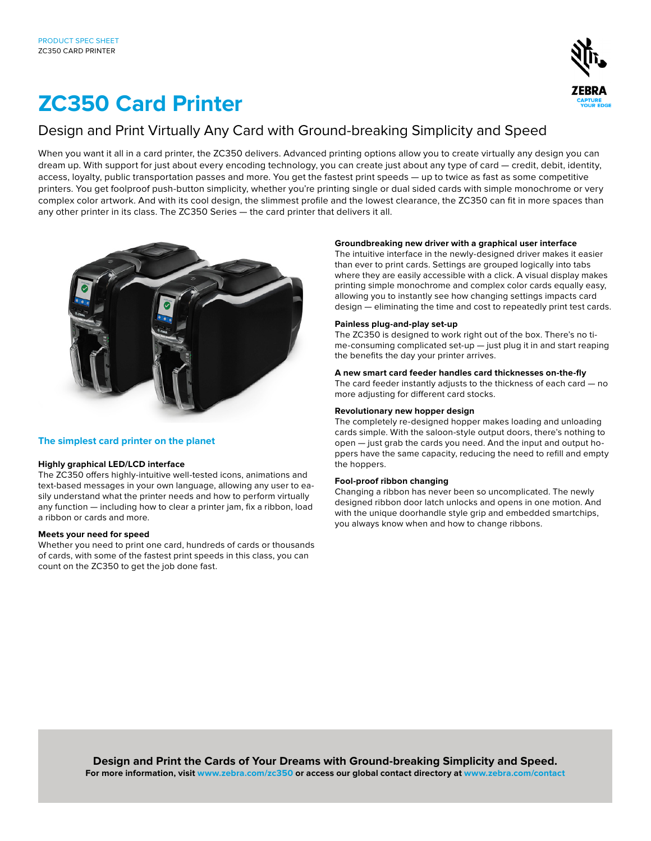

# **ZC350 Card Printer**

# Design and Print Virtually Any Card with Ground-breaking Simplicity and Speed

When you want it all in a card printer, the ZC350 delivers. Advanced printing options allow you to create virtually any design you can dream up. With support for just about every encoding technology, you can create just about any type of card — credit, debit, identity, access, loyalty, public transportation passes and more. You get the fastest print speeds — up to twice as fast as some competitive printers. You get foolproof push-button simplicity, whether you're printing single or dual sided cards with simple monochrome or very complex color artwork. And with its cool design, the slimmest profile and the lowest clearance, the ZC350 can fit in more spaces than any other printer in its class. The ZC350 Series — the card printer that delivers it all.



# **The simplest card printer on the planet**

# **Highly graphical LED/LCD interface**

The ZC350 offers highly-intuitive well-tested icons, animations and text-based messages in your own language, allowing any user to easily understand what the printer needs and how to perform virtually any function — including how to clear a printer jam, fix a ribbon, load a ribbon or cards and more.

# **Meets your need for speed**

Whether you need to print one card, hundreds of cards or thousands of cards, with some of the fastest print speeds in this class, you can count on the ZC350 to get the job done fast.

# **Groundbreaking new driver with a graphical user interface**

The intuitive interface in the newly-designed driver makes it easier than ever to print cards. Settings are grouped logically into tabs where they are easily accessible with a click. A visual display makes printing simple monochrome and complex color cards equally easy, allowing you to instantly see how changing settings impacts card design — eliminating the time and cost to repeatedly print test cards.

# **Painless plug-and-play set-up**

The ZC350 is designed to work right out of the box. There's no time-consuming complicated set-up — just plug it in and start reaping the benefits the day your printer arrives.

# **A new smart card feeder handles card thicknesses on-the-fly**

The card feeder instantly adjusts to the thickness of each card — no more adjusting for different card stocks.

# **Revolutionary new hopper design**

The completely re-designed hopper makes loading and unloading cards simple. With the saloon-style output doors, there's nothing to open — just grab the cards you need. And the input and output hoppers have the same capacity, reducing the need to refill and empty the hoppers.

# **Fool-proof ribbon changing**

Changing a ribbon has never been so uncomplicated. The newly designed ribbon door latch unlocks and opens in one motion. And with the unique doorhandle style grip and embedded smartchips, you always know when and how to change ribbons.

**Design and Print the Cards of Your Dreams with Ground-breaking Simplicity and Speed. For more information, visit www.zebra.com/zc350 or access our global contact directory at www.zebra.com/contact**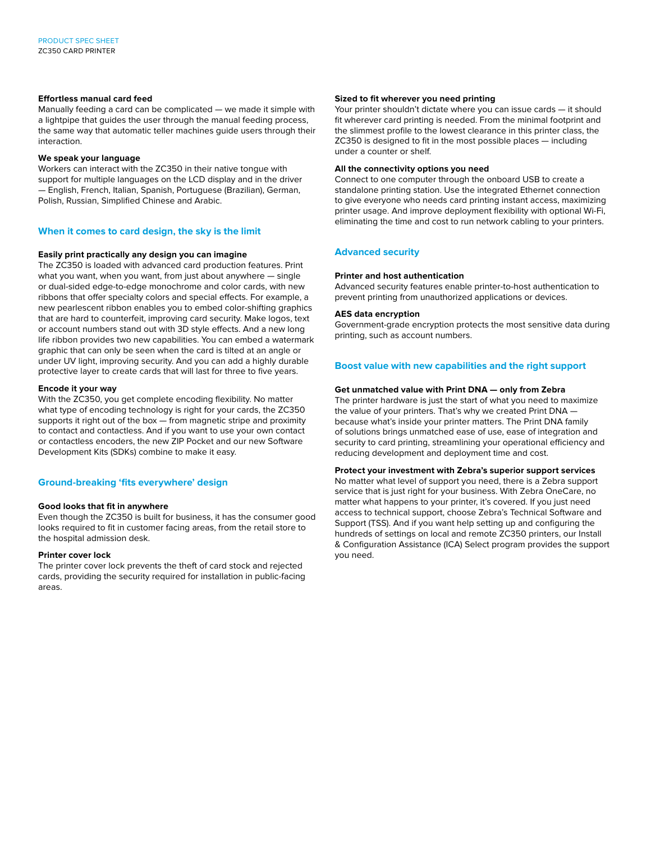# **Effortless manual card feed**

Manually feeding a card can be complicated — we made it simple with a lightpipe that guides the user through the manual feeding process, the same way that automatic teller machines guide users through their interaction.

#### **We speak your language**

Workers can interact with the ZC350 in their native tongue with support for multiple languages on the LCD display and in the driver — English, French, Italian, Spanish, Portuguese (Brazilian), German, Polish, Russian, Simplified Chinese and Arabic.

# **When it comes to card design, the sky is the limit**

# **Easily print practically any design you can imagine**

The ZC350 is loaded with advanced card production features. Print what you want, when you want, from just about anywhere — single or dual-sided edge-to-edge monochrome and color cards, with new ribbons that offer specialty colors and special effects. For example, a new pearlescent ribbon enables you to embed color-shifting graphics that are hard to counterfeit, improving card security. Make logos, text or account numbers stand out with 3D style effects. And a new long life ribbon provides two new capabilities. You can embed a watermark graphic that can only be seen when the card is tilted at an angle or under UV light, improving security. And you can add a highly durable protective layer to create cards that will last for three to five years.

# **Encode it your way**

With the ZC350, you get complete encoding flexibility. No matter what type of encoding technology is right for your cards, the ZC350 supports it right out of the box — from magnetic stripe and proximity to contact and contactless. And if you want to use your own contact or contactless encoders, the new ZIP Pocket and our new Software Development Kits (SDKs) combine to make it easy.

# **Ground-breaking 'fits everywhere' design**

#### **Good looks that fit in anywhere**

Even though the ZC350 is built for business, it has the consumer good looks required to fit in customer facing areas, from the retail store to the hospital admission desk.

#### **Printer cover lock**

The printer cover lock prevents the theft of card stock and rejected cards, providing the security required for installation in public-facing areas.

#### **Sized to fit wherever you need printing**

Your printer shouldn't dictate where you can issue cards — it should fit wherever card printing is needed. From the minimal footprint and the slimmest profile to the lowest clearance in this printer class, the ZC350 is designed to fit in the most possible places — including under a counter or shelf.

#### **All the connectivity options you need**

Connect to one computer through the onboard USB to create a standalone printing station. Use the integrated Ethernet connection to give everyone who needs card printing instant access, maximizing printer usage. And improve deployment flexibility with optional Wi-Fi, eliminating the time and cost to run network cabling to your printers.

# **Advanced security**

#### **Printer and host authentication**

Advanced security features enable printer-to-host authentication to prevent printing from unauthorized applications or devices.

#### **AES data encryption**

Government-grade encryption protects the most sensitive data during printing, such as account numbers.

# **Boost value with new capabilities and the right support**

#### **Get unmatched value with Print DNA — only from Zebra**

The printer hardware is just the start of what you need to maximize the value of your printers. That's why we created Print DNA because what's inside your printer matters. The Print DNA family of solutions brings unmatched ease of use, ease of integration and security to card printing, streamlining your operational efficiency and reducing development and deployment time and cost.

#### **Protect your investment with Zebra's superior support services**

No matter what level of support you need, there is a Zebra support service that is just right for your business. With Zebra OneCare, no matter what happens to your printer, it's covered. If you just need access to technical support, choose Zebra's Technical Software and Support (TSS). And if you want help setting up and configuring the hundreds of settings on local and remote ZC350 printers, our Install & Configuration Assistance (ICA) Select program provides the support you need.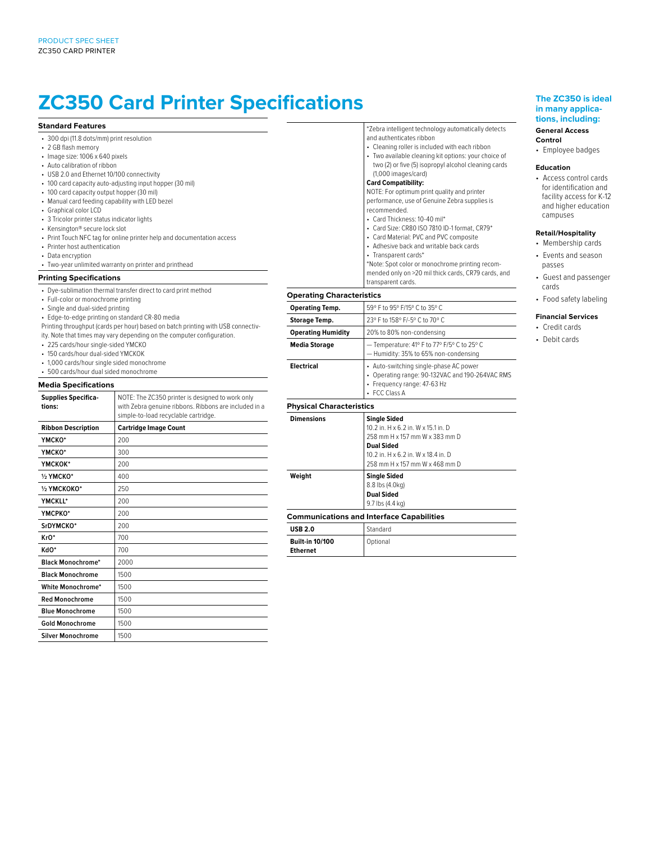# **ZC350 Card Printer Specifications**

#### **Standard Features**

- 300 dpi (11.8 dots/mm) print resolution
- 2 GB flash memory
- Image size: 1006 x 640 pixels
- Auto calibration of ribbon
- USB 2.0 and Ethernet 10/100 connectivity
- 100 card capacity auto-adjusting input hopper (30 mil)
- 100 card capacity output hopper (30 mil)
- Manual card feeding capability with LED bezel
- Graphical color LCD
- 3 Tricolor printer status indicator lights
- Kensington® secure lock slot
- Print Touch NFC tag for online printer help and documentation access
- Printer host authentication
- Data encryption

• Two-year unlimited warranty on printer and printhead

#### **Printing Specifications**

- Dye-sublimation thermal transfer direct to card print method
- Full-color or monochrome printing
- Single and dual-sided printing
- Edge-to-edge printing on standard CR-80 media
- Printing throughput (cards per hour) based on batch printing with USB connectiv-
- ity. Note that times may vary depending on the computer configuration.
- 225 cards/hour single-sided YMCKO
- 150 cards/hour dual-sided YMCKOK
- 1,000 cards/hour single sided monochrome
- 500 cards/hour dual sided monochrome

# **Media Specifications**

| <b>Supplies Specifica-</b> | NOTE: The ZC350 printer is designed to work only      |  |
|----------------------------|-------------------------------------------------------|--|
| tions:                     | with Zebra genuine ribbons. Ribbons are included in a |  |
|                            | simple-to-load recyclable cartridge.                  |  |
| <b>Ribbon Description</b>  | <b>Cartridge Image Count</b>                          |  |
| YMCKO*                     | 200                                                   |  |
| ҮМСКО*                     | 300                                                   |  |
| ҮМСКОК*                    | 200                                                   |  |
| 1/2 YMCKO*                 | 400                                                   |  |
| 1/2 YMCKOKO*               | 250                                                   |  |
| YMCKLL*                    | 200                                                   |  |
| YMCPKO*                    | 200                                                   |  |
| SrDYMCKO*                  | 200                                                   |  |
| KrO*                       | 700                                                   |  |
| KdO*                       | 700                                                   |  |
| <b>Black Monochrome*</b>   | 2000                                                  |  |
| <b>Black Monochrome</b>    | 1500                                                  |  |
| White Monochrome*          | 1500                                                  |  |
| <b>Red Monochrome</b>      | 1500                                                  |  |
| <b>Blue Monochrome</b>     | 1500                                                  |  |
| <b>Gold Monochrome</b>     | 1500                                                  |  |
| <b>Silver Monochrome</b>   | 1500                                                  |  |

\*Zebra intelligent technology automatically detects and authenticates ribbon

- Cleaning roller is included with each ribbon
- Two available cleaning kit options: your choice of two (2) or five (5) isopropyl alcohol cleaning cards (1,000 images/card)

#### **Card Compatibility:**

NOTE: For optimum print quality and printer performance, use of Genuine Zebra supplies is recommended.

- Card Thickness: 10-40 mil\*
- Card Size: CR80 ISO 7810 ID-1 format, CR79\*
- 
- Card Material: PVC and PVC composite
- Adhesive back and writable back cards
- Transparent cards\*

\*Note: Spot color or monochrome printing recommended only on >20 mil thick cards, CR79 cards, and transparent cards.

#### **Operating Characteristics**

| <b>Operating Temp.</b>          | 59° F to 95° F/15° C to 35° C                                                                                                                                                              |  |
|---------------------------------|--------------------------------------------------------------------------------------------------------------------------------------------------------------------------------------------|--|
| <b>Storage Temp.</b>            | 23° F to 158° F/-5° C to 70° C                                                                                                                                                             |  |
| <b>Operating Humidity</b>       | 20% to 80% non-condensing                                                                                                                                                                  |  |
| <b>Media Storage</b>            | - Temperature: 41° F to 77° F/5° C to 25° C<br>- Humidity: 35% to 65% non-condensing                                                                                                       |  |
| <b>Electrical</b>               | • Auto-switching single-phase AC power<br>• Operating range: 90-132VAC and 190-264VAC RMS<br>• Frequency range: 47-63 Hz<br>• FCC Class A                                                  |  |
| <b>Physical Characteristics</b> |                                                                                                                                                                                            |  |
|                                 |                                                                                                                                                                                            |  |
| <b>Dimensions</b>               | <b>Single Sided</b><br>10.2 in. H x 6.2 in. W x 15.1 in. D<br>258 mm H x 157 mm W x 383 mm D<br><b>Dual Sided</b><br>10.2 in. H x 6.2 in. W x 18.4 in. D<br>258 mm H x 157 mm W x 468 mm D |  |
| Weight                          | <b>Single Sided</b><br>8.8 lbs (4.0kg)<br><b>Dual Sided</b><br>9.7 lbs (4.4 kg)                                                                                                            |  |
|                                 | <b>Communications and Interface Capabilities</b>                                                                                                                                           |  |

| <b>USB 2.0</b>                            | Standard |  |
|-------------------------------------------|----------|--|
| <b>Built-in 10/100</b><br><b>Ethernet</b> | Optional |  |

# **The ZC350 is ideal in many applications, including:**

#### **General Access Control**

• Employee badges

#### **Education**

• Access control cards for identification and facility access for K-12 and higher education campuses

#### **Retail/Hospitality**

- Membership cards • Events and season passes
- Guest and passenger cards
- Food safety labeling

# **Financial Services**

• Credit cards • Debit cards